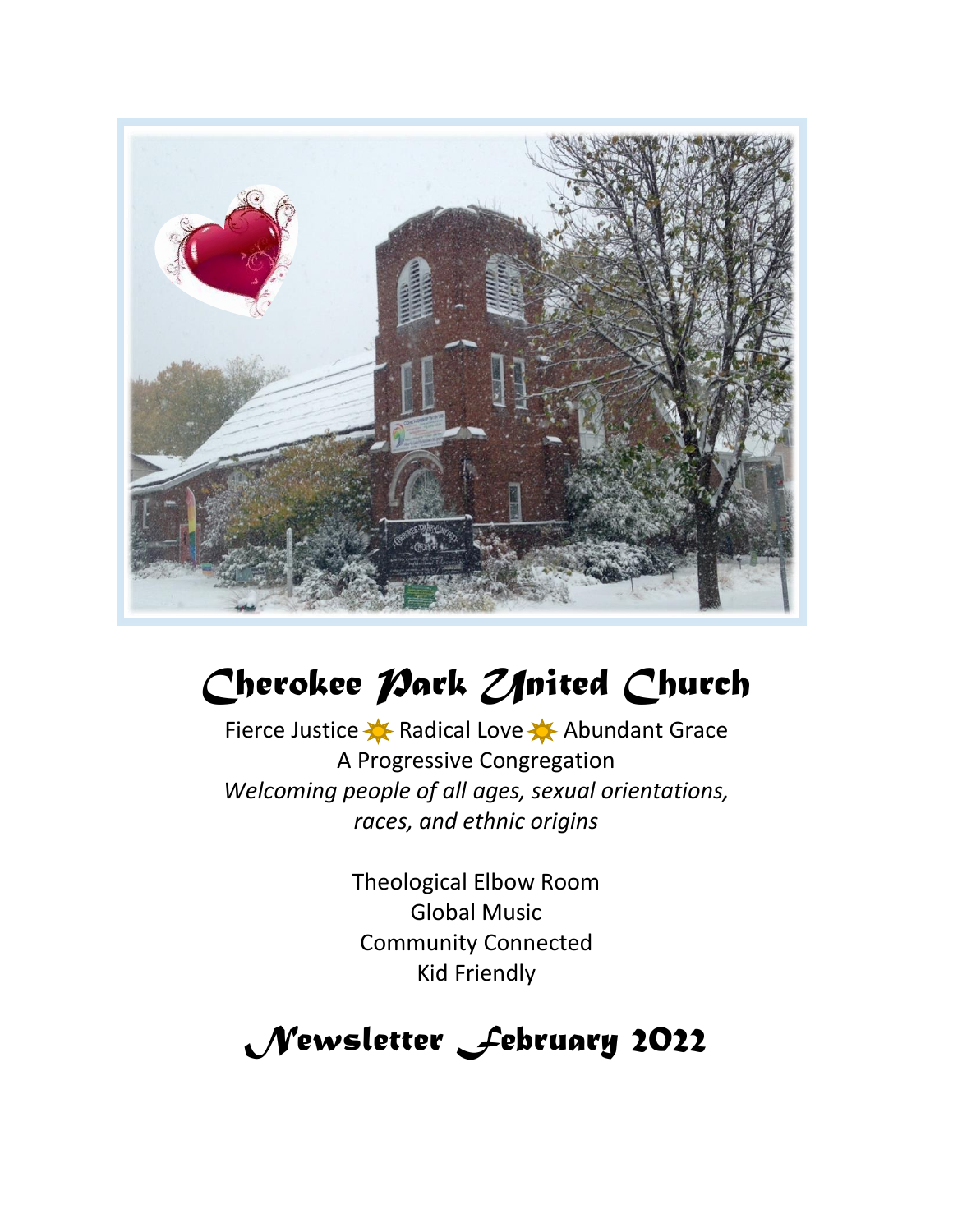

# Cherokee *Park Zfrited* Church

Fierce Justice **X** Radical Love X Abundant Grace A Progressive Congregation *Welcoming people of all ages, sexual orientations, races, and ethnic origins*

> Theological Elbow Room Global Music Community Connected Kid Friendly

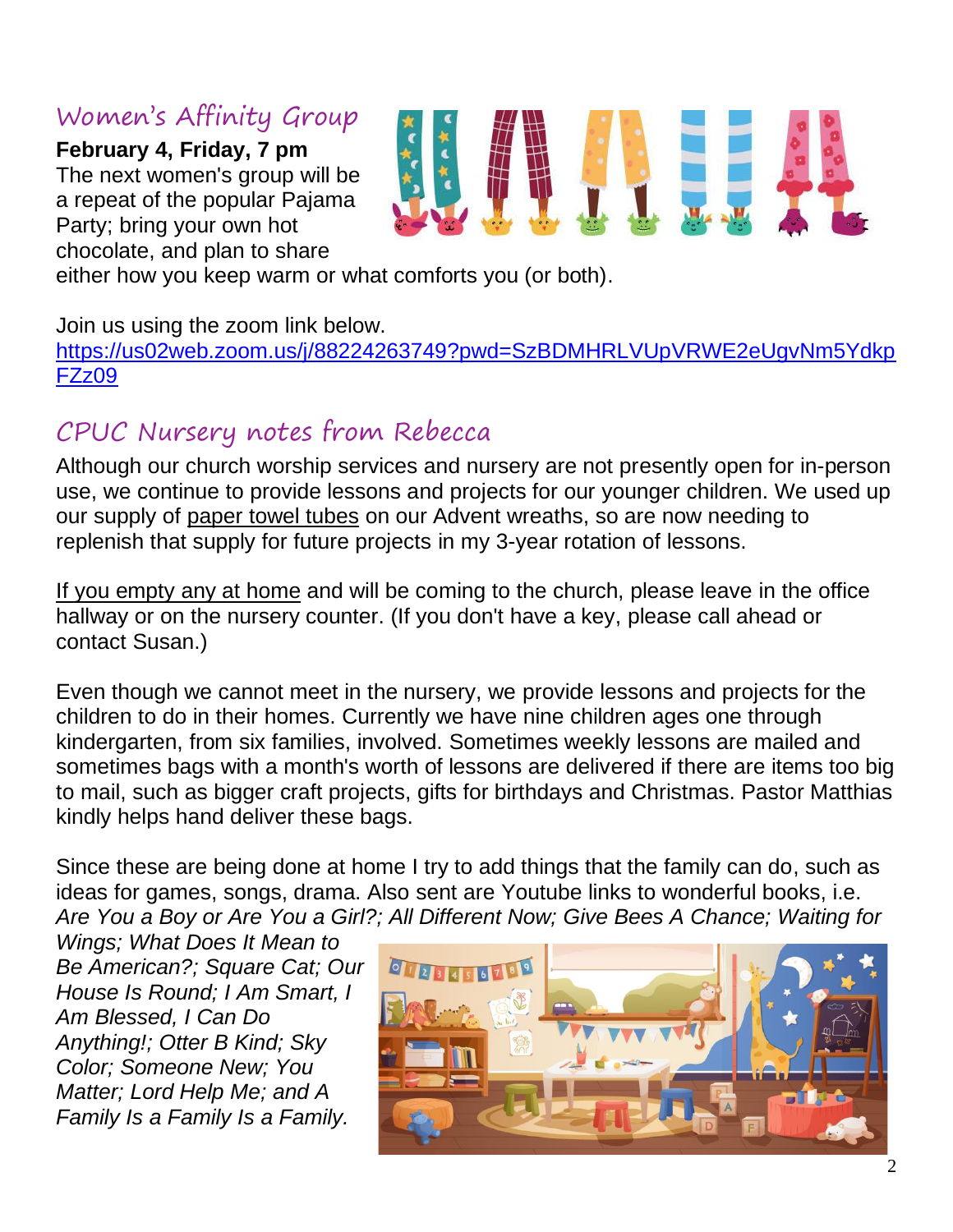# Women's Affinity Group

**February 4, Friday, 7 pm** The next women's group will be a repeat of the popular Pajama Party; bring your own hot chocolate, and plan to share



#### Join us using the zoom link below.

[https://us02web.zoom.us/j/88224263749?pwd=SzBDMHRLVUpVRWE2eUgvNm5Ydkp](https://us02web.zoom.us/j/88224263749?pwd=SzBDMHRLVUpVRWE2eUgvNm5YdkpFZz09) [FZz09](https://us02web.zoom.us/j/88224263749?pwd=SzBDMHRLVUpVRWE2eUgvNm5YdkpFZz09)

# CPUC Nursery notes from Rebecca

Although our church worship services and nursery are not presently open for in-person use, we continue to provide lessons and projects for our younger children. We used up our supply of paper towel tubes on our Advent wreaths, so are now needing to replenish that supply for future projects in my 3-year rotation of lessons.

If you empty any at home and will be coming to the church, please leave in the office hallway or on the nursery counter. (If you don't have a key, please call ahead or contact Susan.)

Even though we cannot meet in the nursery, we provide lessons and projects for the children to do in their homes. Currently we have nine children ages one through kindergarten, from six families, involved. Sometimes weekly lessons are mailed and sometimes bags with a month's worth of lessons are delivered if there are items too big to mail, such as bigger craft projects, gifts for birthdays and Christmas. Pastor Matthias kindly helps hand deliver these bags.

Since these are being done at home I try to add things that the family can do, such as ideas for games, songs, drama. Also sent are Youtube links to wonderful books, i.e. *Are You a Boy or Are You a Girl?; All Different Now; Give Bees A Chance; Waiting for* 

*Wings; What Does It Mean to Be American?; Square Cat; Our House Is Round; I Am Smart, I Am Blessed, I Can Do Anything!; Otter B Kind; Sky Color; Someone New; You Matter; Lord Help Me; and A Family Is a Family Is a Family.*

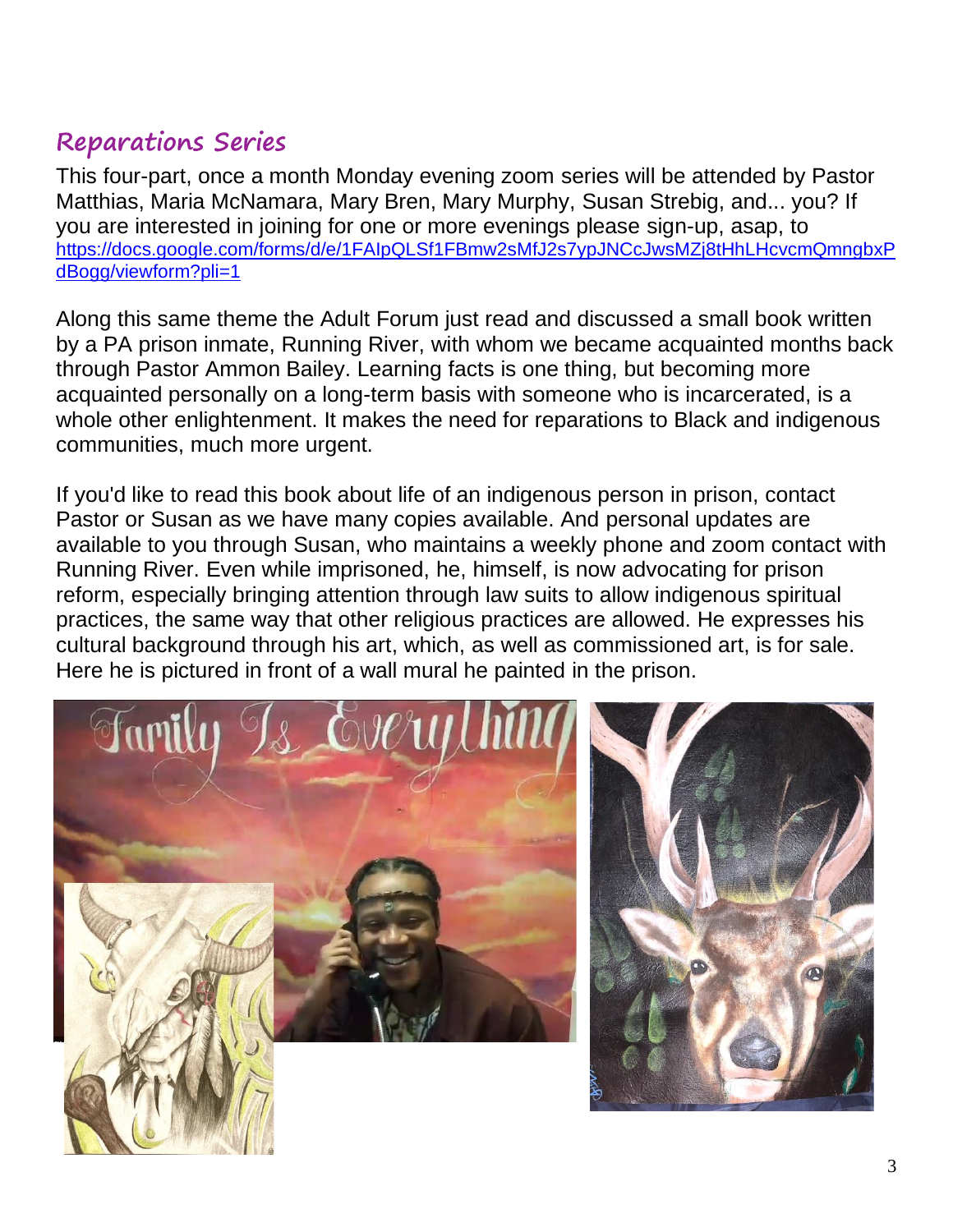# **Reparations Series**

This four-part, once a month Monday evening zoom series will be attended by Pastor Matthias, Maria McNamara, Mary Bren, Mary Murphy, Susan Strebig, and... you? If you are interested in joining for one or more evenings please sign-up, asap, to [https://docs.google.com/forms/d/e/1FAIpQLSf1FBmw2sMfJ2s7ypJNCcJwsMZj8tHhLHcvcmQmngbxP](https://docs.google.com/forms/d/e/1FAIpQLSf1FBmw2sMfJ2s7ypJNCcJwsMZj8tHhLHcvcmQmngbxPdBogg/viewform?pli=1) [dBogg/viewform?pli=1](https://docs.google.com/forms/d/e/1FAIpQLSf1FBmw2sMfJ2s7ypJNCcJwsMZj8tHhLHcvcmQmngbxPdBogg/viewform?pli=1)

Along this same theme the Adult Forum just read and discussed a small book written by a PA prison inmate, Running River, with whom we became acquainted months back through Pastor Ammon Bailey. Learning facts is one thing, but becoming more acquainted personally on a long-term basis with someone who is incarcerated, is a whole other enlightenment. It makes the need for reparations to Black and indigenous communities, much more urgent.

If you'd like to read this book about life of an indigenous person in prison, contact Pastor or Susan as we have many copies available. And personal updates are available to you through Susan, who maintains a weekly phone and zoom contact with Running River. Even while imprisoned, he, himself, is now advocating for prison reform, especially bringing attention through law suits to allow indigenous spiritual practices, the same way that other religious practices are allowed. He expresses his cultural background through his art, which, as well as commissioned art, is for sale. Here he is pictured in front of a wall mural he painted in the prison.



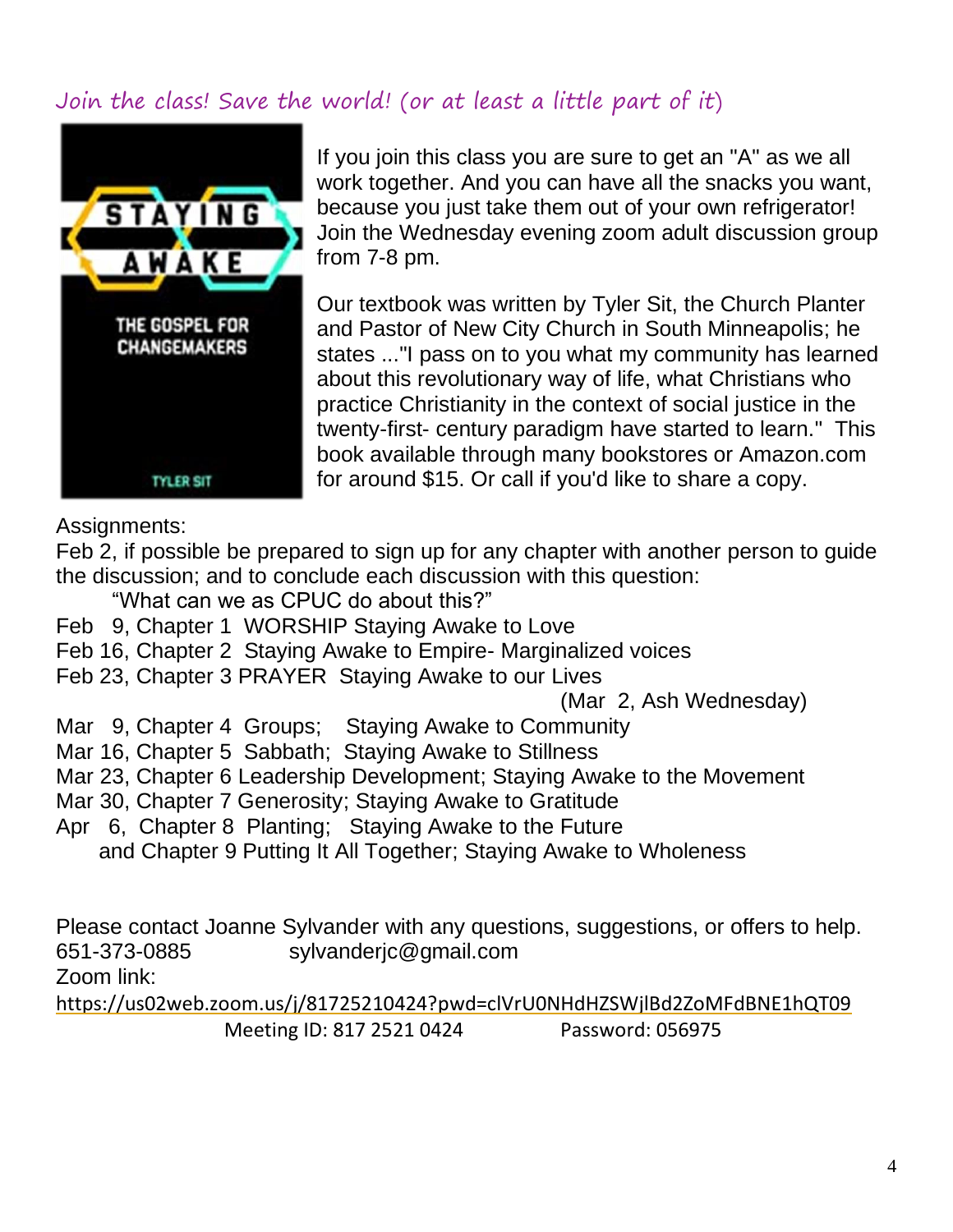## Join the class! Save the world! (or at least a little part of it)



If you join this class you are sure to get an "A" as we all work together. And you can have all the snacks you want, because you just take them out of your own refrigerator! Join the Wednesday evening zoom adult discussion group from 7-8 pm.

Our textbook was written by Tyler Sit, the Church Planter and Pastor of New City Church in South Minneapolis; he states ..."I pass on to you what my community has learned about this revolutionary way of life, what Christians who practice Christianity in the context of social justice in the twenty-first- century paradigm have started to learn." This book available through many bookstores or Amazon.com for around \$15. Or call if you'd like to share a copy.

#### Assignments:

Feb 2, if possible be prepared to sign up for any chapter with another person to guide the discussion; and to conclude each discussion with this question:

"What can we as CPUC do about this?"

- Feb 9, Chapter 1 WORSHIP Staying Awake to Love
- Feb 16, Chapter 2 Staying Awake to Empire- Marginalized voices
- Feb 23, Chapter 3 PRAYER Staying Awake to our Lives

(Mar 2, Ash Wednesday)

- Mar 9, Chapter 4 Groups; Staying Awake to Community
- Mar 16, Chapter 5 Sabbath; Staying Awake to Stillness
- Mar 23, Chapter 6 Leadership Development; Staying Awake to the Movement
- Mar 30, Chapter 7 Generosity; Staying Awake to Gratitude
- Apr 6, Chapter 8 Planting; Staying Awake to the Future and Chapter 9 Putting It All Together; Staying Awake to Wholeness

Please contact Joanne Sylvander with any questions, suggestions, or offers to help. 651-373-0885 sylvanderjc@gmail.com Zoom link:

<https://us02web.zoom.us/j/81725210424?pwd=clVrU0NHdHZSWjlBd2ZoMFdBNE1hQT09> Meeting ID: 817 2521 0424 Password: 056975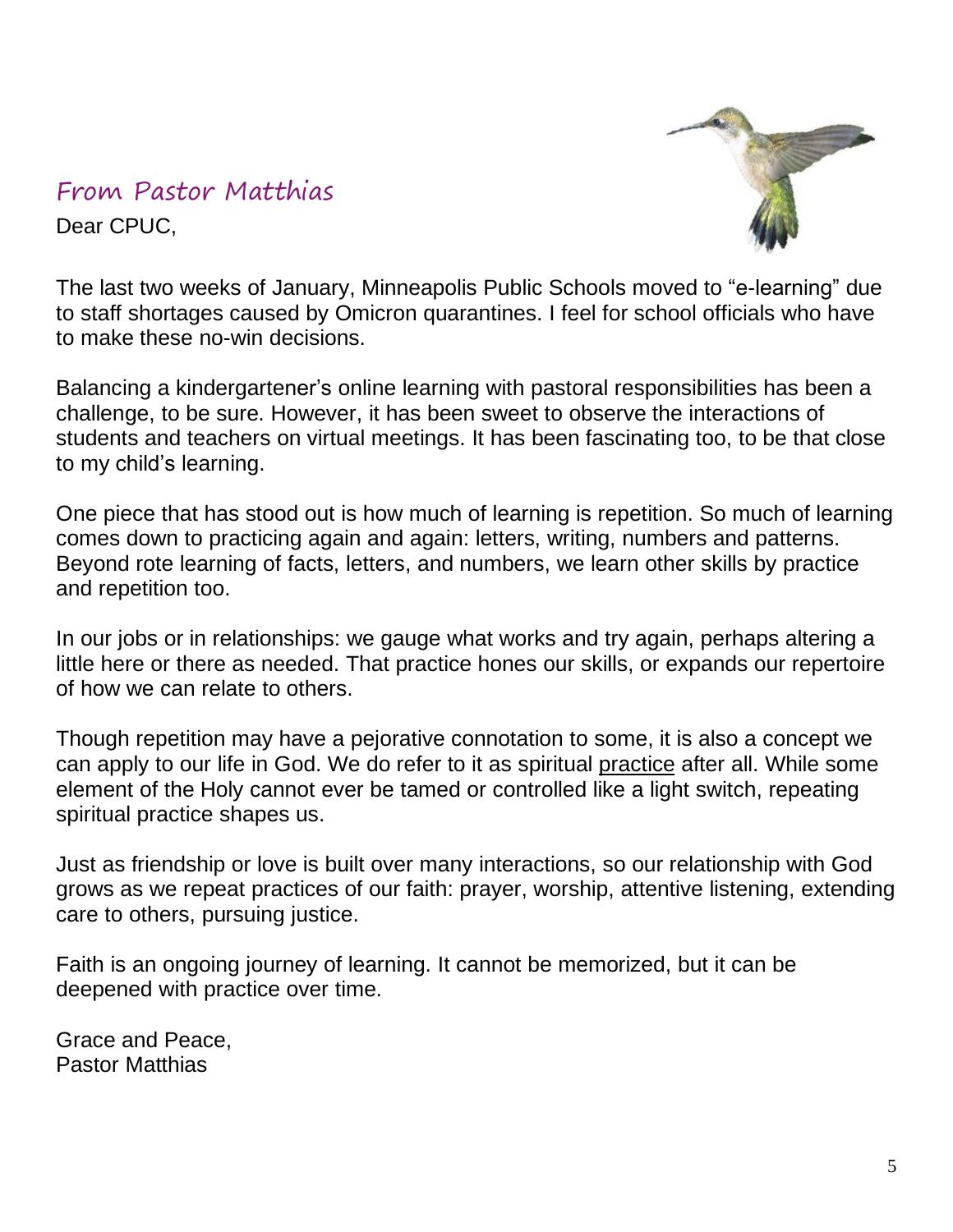## From Pastor Matthias Dear CPUC,



The last two weeks of January, Minneapolis Public Schools moved to "e-learning" due to staff shortages caused by Omicron quarantines. I feel for school officials who have to make these no-win decisions.

Balancing a kindergartener's online learning with pastoral responsibilities has been a challenge, to be sure. However, it has been sweet to observe the interactions of students and teachers on virtual meetings. It has been fascinating too, to be that close to my child's learning.

One piece that has stood out is how much of learning is repetition. So much of learning comes down to practicing again and again: letters, writing, numbers and patterns. Beyond rote learning of facts, letters, and numbers, we learn other skills by practice and repetition too.

In our jobs or in relationships: we gauge what works and try again, perhaps altering a little here or there as needed. That practice hones our skills, or expands our repertoire of how we can relate to others.

Though repetition may have a pejorative connotation to some, it is also a concept we can apply to our life in God. We do refer to it as spiritual practice after all. While some element of the Holy cannot ever be tamed or controlled like a light switch, repeating spiritual practice shapes us.

Just as friendship or love is built over many interactions, so our relationship with God grows as we repeat practices of our faith: prayer, worship, attentive listening, extending care to others, pursuing justice.

Faith is an ongoing journey of learning. It cannot be memorized, but it can be deepened with practice over time.

Grace and Peace, Pastor Matthias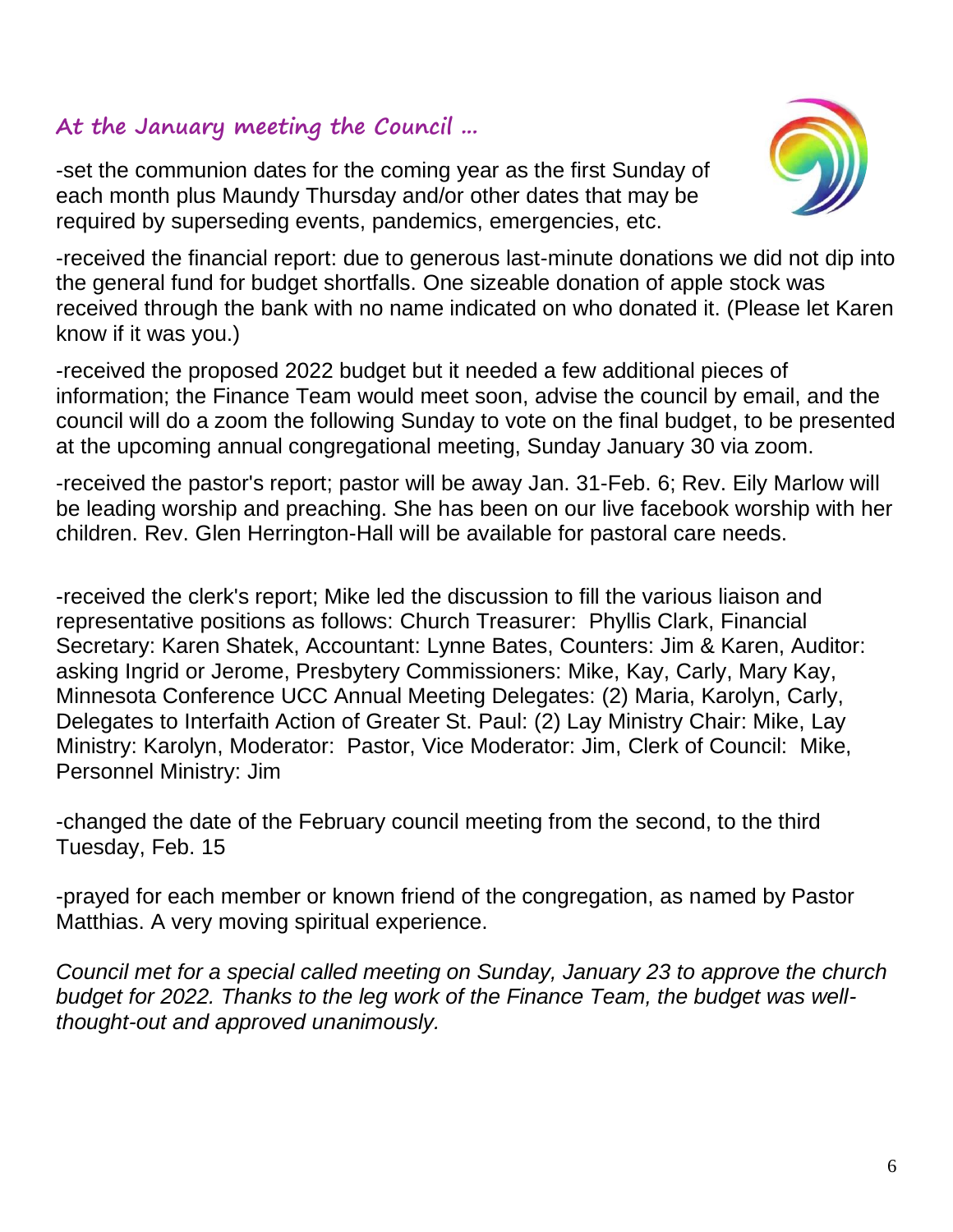#### **At the January meeting the Council ...**

-set the communion dates for the coming year as the first Sunday of each month plus Maundy Thursday and/or other dates that may be required by superseding events, pandemics, emergencies, etc.



-received the financial report: due to generous last-minute donations we did not dip into the general fund for budget shortfalls. One sizeable donation of apple stock was received through the bank with no name indicated on who donated it. (Please let Karen know if it was you.)

-received the proposed 2022 budget but it needed a few additional pieces of information; the Finance Team would meet soon, advise the council by email, and the council will do a zoom the following Sunday to vote on the final budget, to be presented at the upcoming annual congregational meeting, Sunday January 30 via zoom.

-received the pastor's report; pastor will be away Jan. 31-Feb. 6; Rev. Eily Marlow will be leading worship and preaching. She has been on our live facebook worship with her children. Rev. Glen Herrington-Hall will be available for pastoral care needs.

-received the clerk's report; Mike led the discussion to fill the various liaison and representative positions as follows: Church Treasurer: Phyllis Clark, Financial Secretary: Karen Shatek, Accountant: Lynne Bates, Counters: Jim & Karen, Auditor: asking Ingrid or Jerome, Presbytery Commissioners: Mike, Kay, Carly, Mary Kay, Minnesota Conference UCC Annual Meeting Delegates: (2) Maria, Karolyn, Carly, Delegates to Interfaith Action of Greater St. Paul: (2) Lay Ministry Chair: Mike, Lay Ministry: Karolyn, Moderator: Pastor, Vice Moderator: Jim, Clerk of Council: Mike, Personnel Ministry: Jim

-changed the date of the February council meeting from the second, to the third Tuesday, Feb. 15

-prayed for each member or known friend of the congregation, as named by Pastor Matthias. A very moving spiritual experience.

*Council met for a special called meeting on Sunday, January 23 to approve the church budget for 2022. Thanks to the leg work of the Finance Team, the budget was wellthought-out and approved unanimously.*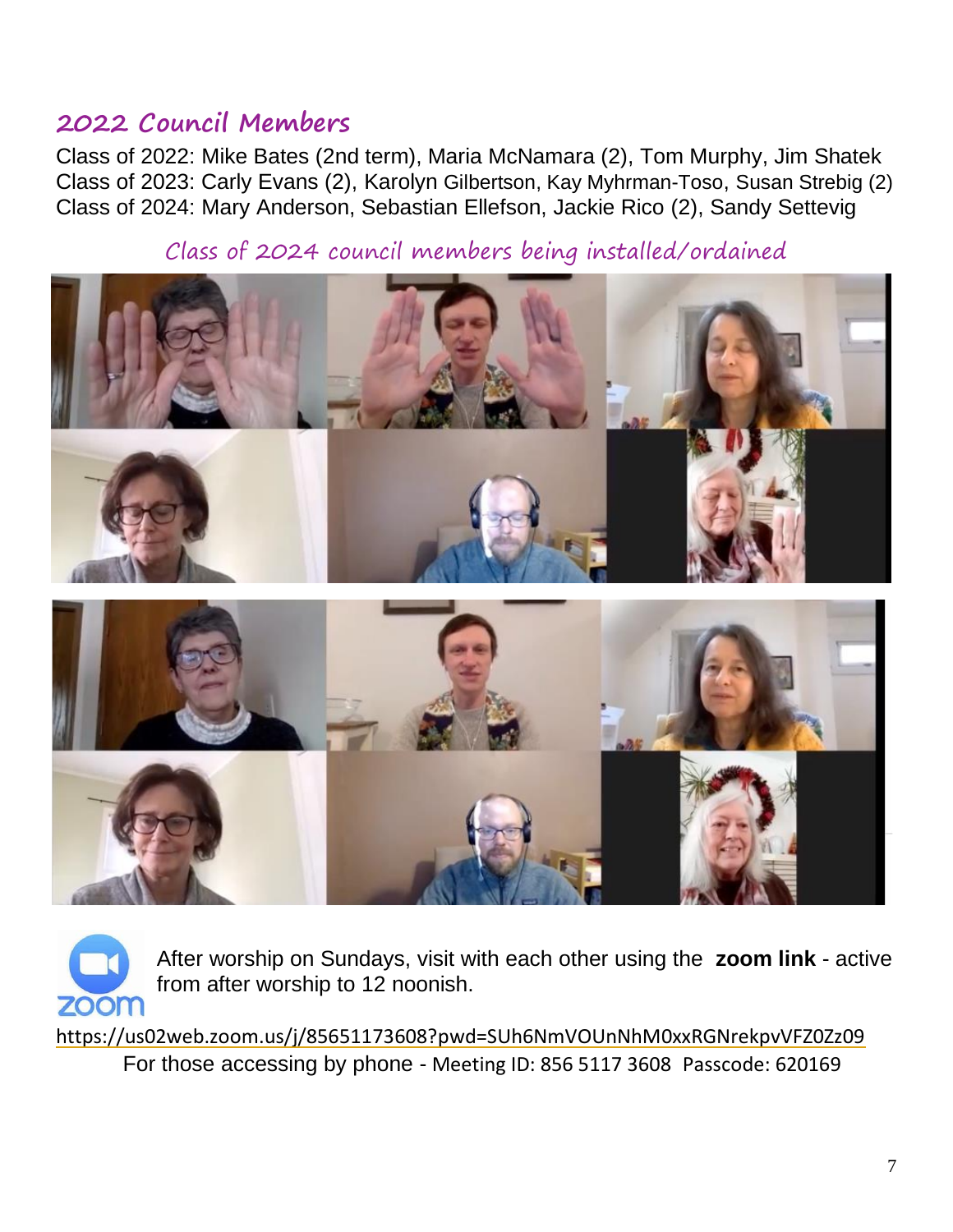## **2022 Council Members**

Class of 2022: Mike Bates (2nd term), Maria McNamara (2), Tom Murphy, Jim Shatek Class of 2023: Carly Evans (2), Karolyn Gilbertson, Kay Myhrman-Toso, Susan Strebig (2) Class of 2024: Mary Anderson, Sebastian Ellefson, Jackie Rico (2), Sandy Settevig

Class of 2024 council members being installed/ordained





After worship on Sundays, visit with each other using the **zoom link** - active from after worship to 12 noonish.

<https://us02web.zoom.us/j/85651173608?pwd=SUh6NmVOUnNhM0xxRGNrekpvVFZ0Zz09> For those accessing by phone - Meeting ID: 856 5117 3608 Passcode: 620169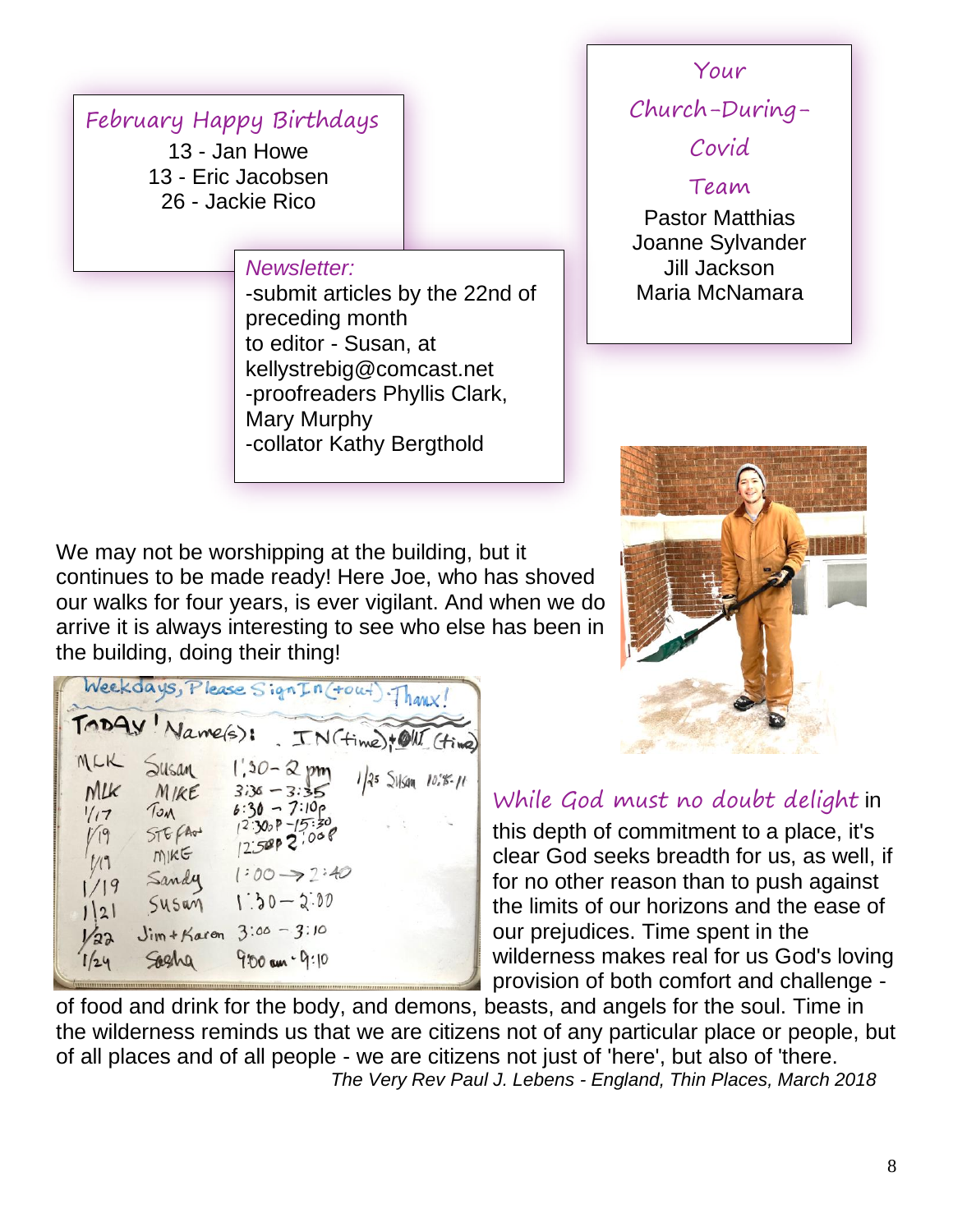## February Happy Birthdays

13 - Jan Howe 13 - Eric Jacobsen 26 - Jackie Rico

#### *Newsletter:*

-submit articles by the 22nd of preceding month to editor - Susan, at kellystrebig@comcast.net -proofreaders Phyllis Clark, Mary Murphy -collator Kathy Bergthold

We may not be worshipping at the building, but it continues to be made ready! Here Joe, who has shoved our walks for four years, is ever vigilant. And when we do arrive it is always interesting to see who else has been in the building, doing their thing!

Weekdays, Please Sign In (tout) Thanx TODAY Name(s): TN (time) + OUT (time) MLK Susan  $1,30 - 2, pm$  $1/25$  Sylson  $10.85 - 11$  $Mlk$  $3.36 - 3.35$  $MIKE$  $6:30 - 7:10p$ TOM  $1/17$  $12.300P - 15.30$  $576600$  $1/19$  $12.500P$  2.008  $MKE$  $1:00 \rightarrow 2:40$ Sandy  $1/19$  $1:30-2:00$  $545$ an  $1|2|$  $Jim + Karen$   $3:00 - 3:10$  $1/22$ Saeha  $9.00 \, \text{cm} \cdot 9.10$  $1/24$ 

# Your

Church-During-

Covid

Team Pastor Matthias Joanne Sylvander Jill Jackson Maria McNamara



#### While God must no doubt delight in

this depth of commitment to a place, it's clear God seeks breadth for us, as well, if for no other reason than to push against the limits of our horizons and the ease of our prejudices. Time spent in the wilderness makes real for us God's loving provision of both comfort and challenge -

of food and drink for the body, and demons, beasts, and angels for the soul. Time in the wilderness reminds us that we are citizens not of any particular place or people, but of all places and of all people - we are citizens not just of 'here', but also of 'there.  *The Very Rev Paul J. Lebens - England, Thin Places, March 2018*